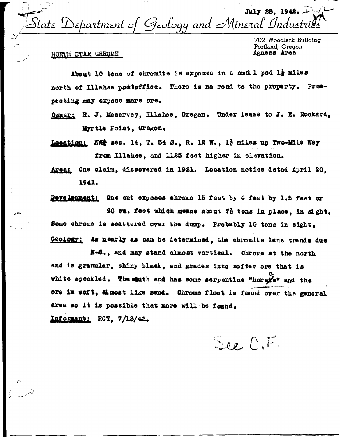July 28, 1942.  $\%$ State  $\mathcal D$ epartment of Geology and Mineral Industria

702 Woodlark Building Portland, Oregon Agness Area

## NORTH STAR CHROME

About 10 tons of chromite is exposed in a small pod la miles north of Illahee postoffice. There is no road to the property. Prospecting may expose more ore.

Owner: R. J. Meservey, Illahee, Oregon. Under lease to J. E. Rookard. Myrtle Point, Oregon.

Location: NWt sec. 14. T. 34 S., R. 12 W., 1} miles up Two-Mile Way from Illahee, and 1125 feet higher in elevation.

Area: One claim, discovered in 1921. Location notice dated April 20, 1941.

Development: One out exposes chrome 15 feet by 4 feet by 1.5 feet or 90 ou. feet which means about 72 tons in place, in sight. Some chrome is scattered over the dump. Probably 10 tons in sight. Geology: As nearly as can be determined, the chromite lens trends due

N-S., and may stand almost vertical. Chrome at the north end is granular, shiny black, and grades into softer ore that is white speckled. The muth end has some serpentine "horsis" and the ore is seft, almost like sand. Chrome float is found over the general area so it is possible that more will be found.

Informant: RCT. 7/13/42.

See C,F.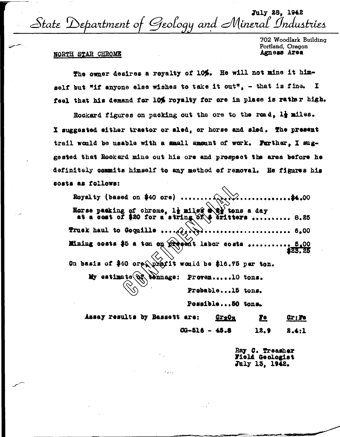July 28, 1942 State Department of Geology and Mineral Industries

702 Woodlark Building Portland, Oregon Agness Area

## NORTH STAR CHROME

The owner desires a reyalty of 10%. He will not mine it himself but "if anyone else wishes to take it out", - that is fine. I feel that his demand for 10% royalty for ore in place is rather high.

Rookard figures on packing out the ore to the road, 1} miles. I suggested either tractor or sled, or horse and sled. The present trail would be usable with a small amount of work. Purther, I suggested that Rookard mine out his ore and prospect the area before he definitely commits himself to any method of removal. He figures his costs as follows:  $\curvearrowright$ 

| Royalty (based on \$40 ore) \$4.00                                                                              |
|-----------------------------------------------------------------------------------------------------------------|
| Horse packing of chrome, limited a 22 tons a day<br>at a cost of \$20 for a string of $\Diamond$ eritters  8.25 |
| Truck haul to Coquille                                                                                          |
| <b>Mining costs \$5 a ton on present labor costs  5.00</b>                                                      |
| On basis of \$40 ore pratit would be \$16.75 per ton.                                                           |
| My estimate QR tennage: Proven10 tons.                                                                          |
| Probable15 tons.                                                                                                |

Possible...50 tons.

| Assay results by Bassett are: |                   | $QY2QX$ | <u>re</u> | $Qx$ ; $Pe$ |
|-------------------------------|-------------------|---------|-----------|-------------|
|                               | $00 - 516 - 45.8$ |         | 12.9      | 2.4.1       |

Ray C. Treasher Field Geologist July 13, 1942.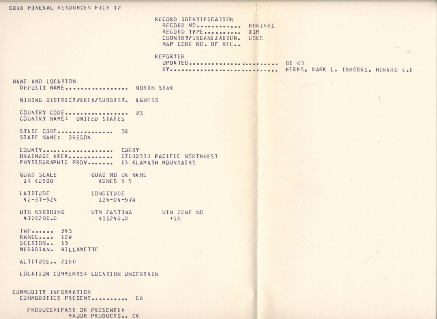#### CRIB MINERAL RESOURCES FILE 12

RECORD IDENTIFICATION RECORD ND. . . . . . . . . . . . MO61481 RECORD TYPE........... XIM COUNTRY/ORGANIZATION. USGS MAP CODE NO. OF REC.

## REPORTER

UPDATED.......................... 81 03 BY----------------------------- FERNS, MARK L. (BROOKS, HOWARD C.)

NAME AND LOCATION DEPOSIT NAME .................. NORTH STAR

MINING DISTRICT/AREA/SUBDIST. AGNESS

COUNTRY CODE................... US COUNTRY NAME: UNITED STATES

STATE CODE................ OR STATE NAME: OREGON

COUNTY ..................... CURRY DRAINAGE AREA............. 17100310 PACIFIC NORTHWEST PHYSIGGRAPHIC PROV....... 13 KLAMATH MOUNTAINS

QUAD SCALE QUAD NO OR NAME 1: 62500 AGNES 5 5

LATITUDE **LONGITUDE**  $42 - 37 - 52N$  $124 - 04 - 57W$ 

UTM NORTHING UTM EASTING UTM ZONE NO 4720200.0 411240.0  $+10$ 

 $IWP$ RANGE.... 12W  $SECIION$ . 13 MERIDIAN. WILLAMETTE

ALIITUDE.. 2150

LOCATION COMMENTS: LOCATION UNCERTAIN

COMMODITY INFORMATION COMMODITIES PRESENT........... CR

> PRODUCER(PAST OR PRESENT): MAJOR PRODUCTS.. CR